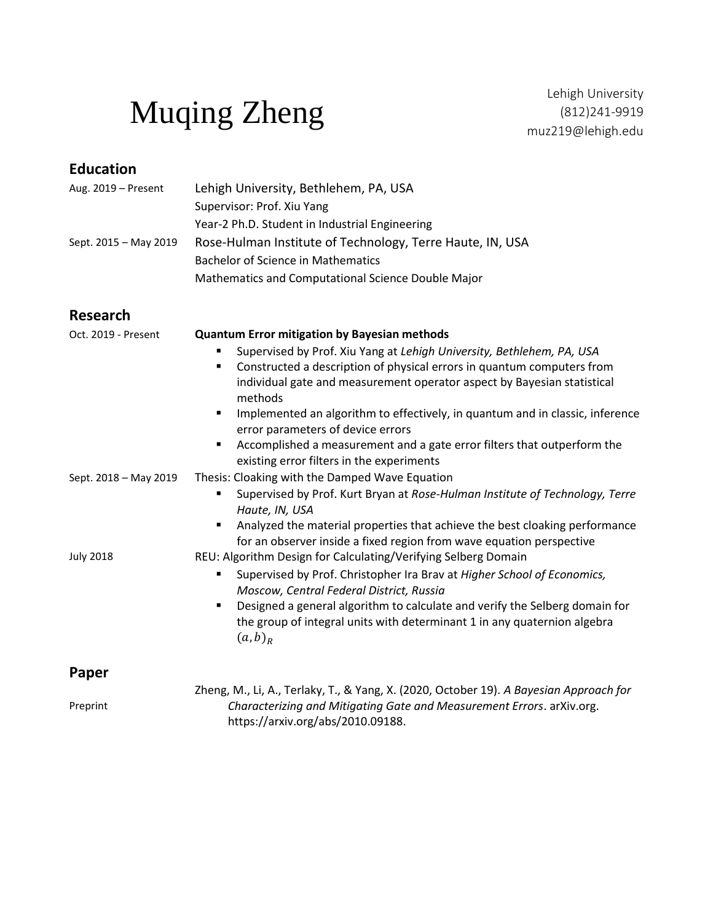# Muqing Zheng

## **Education**

| Aug. 2019 - Present   | Lehigh University, Bethlehem, PA, USA                                                                                                                                     |  |  |
|-----------------------|---------------------------------------------------------------------------------------------------------------------------------------------------------------------------|--|--|
|                       | Supervisor: Prof. Xiu Yang                                                                                                                                                |  |  |
|                       | Year-2 Ph.D. Student in Industrial Engineering                                                                                                                            |  |  |
| Sept. 2015 - May 2019 | Rose-Hulman Institute of Technology, Terre Haute, IN, USA                                                                                                                 |  |  |
|                       | <b>Bachelor of Science in Mathematics</b>                                                                                                                                 |  |  |
|                       | Mathematics and Computational Science Double Major                                                                                                                        |  |  |
| <b>Research</b>       |                                                                                                                                                                           |  |  |
| Oct. 2019 - Present   | <b>Quantum Error mitigation by Bayesian methods</b>                                                                                                                       |  |  |
|                       | Supervised by Prof. Xiu Yang at Lehigh University, Bethlehem, PA, USA                                                                                                     |  |  |
|                       | Constructed a description of physical errors in quantum computers from<br>٠<br>individual gate and measurement operator aspect by Bayesian statistical<br>methods         |  |  |
|                       | Implemented an algorithm to effectively, in quantum and in classic, inference<br>٠<br>error parameters of device errors                                                   |  |  |
|                       | Accomplished a measurement and a gate error filters that outperform the<br>٠<br>existing error filters in the experiments                                                 |  |  |
| Sept. 2018 - May 2019 | Thesis: Cloaking with the Damped Wave Equation                                                                                                                            |  |  |
|                       | Supervised by Prof. Kurt Bryan at Rose-Hulman Institute of Technology, Terre<br>п<br>Haute, IN, USA                                                                       |  |  |
|                       | Analyzed the material properties that achieve the best cloaking performance<br>٠<br>for an observer inside a fixed region from wave equation perspective                  |  |  |
| <b>July 2018</b>      | REU: Algorithm Design for Calculating/Verifying Selberg Domain                                                                                                            |  |  |
|                       | Supervised by Prof. Christopher Ira Brav at Higher School of Economics,<br>٠<br>Moscow, Central Federal District, Russia                                                  |  |  |
|                       | Designed a general algorithm to calculate and verify the Selberg domain for<br>٠<br>the group of integral units with determinant 1 in any quaternion algebra<br>$(a,b)_R$ |  |  |
| Paper                 |                                                                                                                                                                           |  |  |
|                       | Zheng, M., Li, A., Terlaky, T., & Yang, X. (2020, October 19). A Bayesian Approach for                                                                                    |  |  |
| Preprint              | Characterizing and Mitigating Gate and Measurement Errors. arXiv.org.<br>https://arxiv.org/abs/2010.09188.                                                                |  |  |